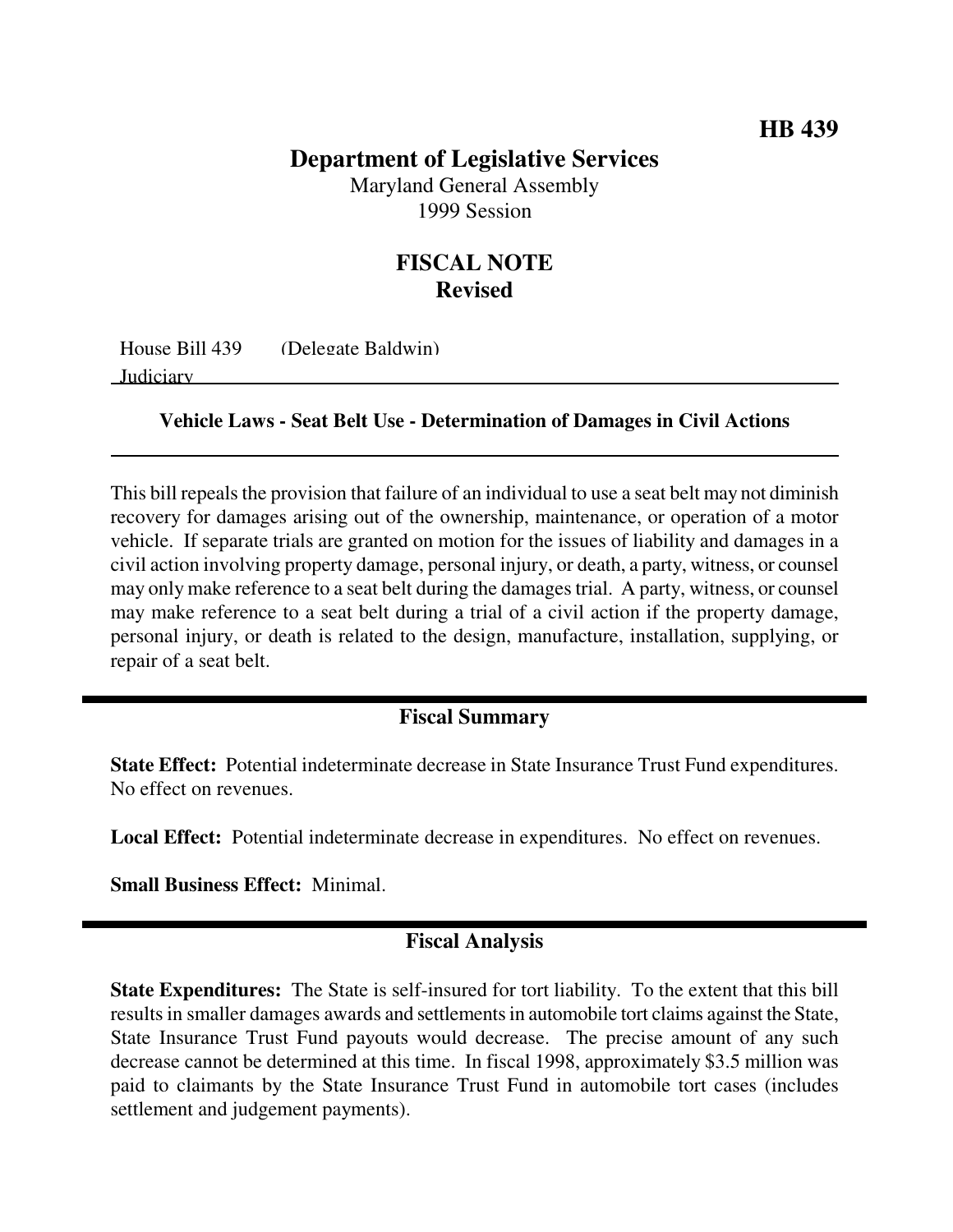## **Department of Legislative Services**

Maryland General Assembly 1999 Session

## **FISCAL NOTE Revised**

House Bill 439 (Delegate Baldwin) Judiciary

**Vehicle Laws - Seat Belt Use - Determination of Damages in Civil Actions**

This bill repeals the provision that failure of an individual to use a seat belt may not diminish recovery for damages arising out of the ownership, maintenance, or operation of a motor vehicle. If separate trials are granted on motion for the issues of liability and damages in a civil action involving property damage, personal injury, or death, a party, witness, or counsel may only make reference to a seat belt during the damages trial. A party, witness, or counsel may make reference to a seat belt during a trial of a civil action if the property damage, personal injury, or death is related to the design, manufacture, installation, supplying, or repair of a seat belt.

## **Fiscal Summary**

**State Effect:** Potential indeterminate decrease in State Insurance Trust Fund expenditures. No effect on revenues.

**Local Effect:** Potential indeterminate decrease in expenditures. No effect on revenues.

**Small Business Effect:** Minimal.

## **Fiscal Analysis**

**State Expenditures:** The State is self-insured for tort liability. To the extent that this bill results in smaller damages awards and settlements in automobile tort claims against the State, State Insurance Trust Fund payouts would decrease. The precise amount of any such decrease cannot be determined at this time. In fiscal 1998, approximately \$3.5 million was paid to claimants by the State Insurance Trust Fund in automobile tort cases (includes settlement and judgement payments).